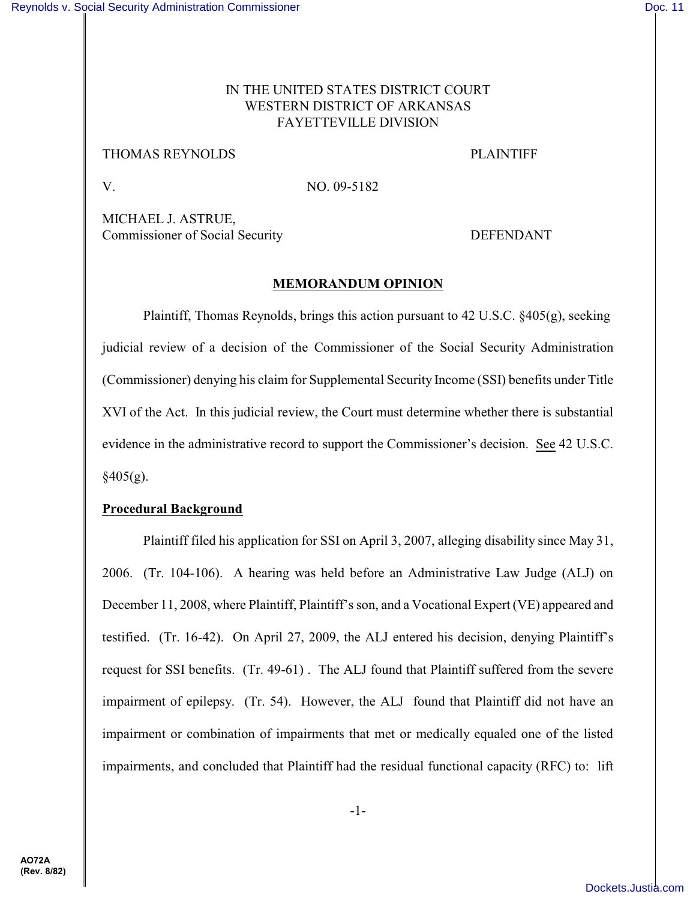# IN THE UNITED STATES DISTRICT COURT WESTERN DISTRICT OF ARKANSAS FAYETTEVILLE DIVISION

## THOMAS REYNOLDS PLAINTIFF

V. NO. 09-5182

MICHAEL J. ASTRUE, Commissioner of Social Security DEFENDANT

# **MEMORANDUM OPINION**

Plaintiff, Thomas Reynolds, brings this action pursuant to 42 U.S.C. §405(g), seeking judicial review of a decision of the Commissioner of the Social Security Administration (Commissioner) denying his claim for Supplemental Security Income (SSI) benefits under Title XVI of the Act. In this judicial review, the Court must determine whether there is substantial evidence in the administrative record to support the Commissioner's decision. See 42 U.S.C.  $§405(g).$ 

# **Procedural Background**

Plaintiff filed his application for SSI on April 3, 2007, alleging disability since May 31, 2006. (Tr. 104-106). A hearing was held before an Administrative Law Judge (ALJ) on December 11, 2008, where Plaintiff, Plaintiff's son, and a Vocational Expert (VE) appeared and testified. (Tr. 16-42). On April 27, 2009, the ALJ entered his decision, denying Plaintiff's request for SSI benefits. (Tr. 49-61) . The ALJ found that Plaintiff suffered from the severe impairment of epilepsy. (Tr. 54). However, the ALJ found that Plaintiff did not have an impairment or combination of impairments that met or medically equaled one of the listed impairments, and concluded that Plaintiff had the residual functional capacity (RFC) to: lift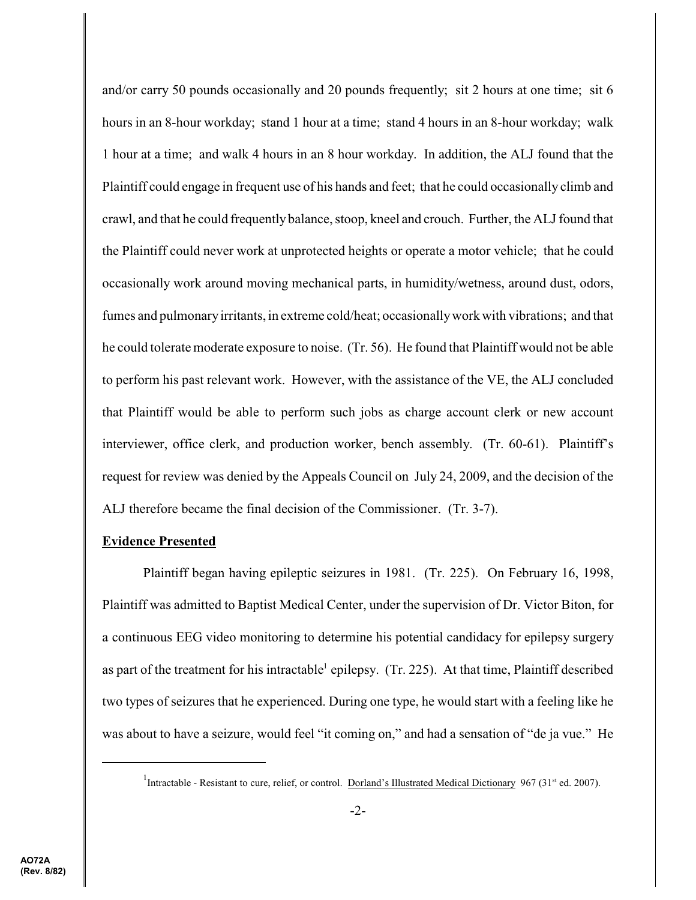and/or carry 50 pounds occasionally and 20 pounds frequently; sit 2 hours at one time; sit 6 hours in an 8-hour workday; stand 1 hour at a time; stand 4 hours in an 8-hour workday; walk 1 hour at a time; and walk 4 hours in an 8 hour workday. In addition, the ALJ found that the Plaintiff could engage in frequent use of his hands and feet; that he could occasionally climb and crawl, and that he could frequently balance, stoop, kneel and crouch. Further, the ALJ found that the Plaintiff could never work at unprotected heights or operate a motor vehicle; that he could occasionally work around moving mechanical parts, in humidity/wetness, around dust, odors, fumes and pulmonaryirritants, in extreme cold/heat; occasionallywork with vibrations; and that he could tolerate moderate exposure to noise. (Tr. 56). He found that Plaintiff would not be able to perform his past relevant work. However, with the assistance of the VE, the ALJ concluded that Plaintiff would be able to perform such jobs as charge account clerk or new account interviewer, office clerk, and production worker, bench assembly. (Tr. 60-61). Plaintiff's request for review was denied by the Appeals Council on July 24, 2009, and the decision of the ALJ therefore became the final decision of the Commissioner. (Tr. 3-7).

## **Evidence Presented**

Plaintiff began having epileptic seizures in 1981. (Tr. 225). On February 16, 1998, Plaintiff was admitted to Baptist Medical Center, under the supervision of Dr. Victor Biton, for a continuous EEG video monitoring to determine his potential candidacy for epilepsy surgery as part of the treatment for his intractable epilepsy. (Tr. 225). At that time, Plaintiff described two types of seizures that he experienced. During one type, he would start with a feeling like he was about to have a seizure, would feel "it coming on," and had a sensation of "de ja vue." He

<sup>&</sup>lt;sup>1</sup>Intractable - Resistant to cure, relief, or control. Dorland's Illustrated Medical Dictionary 967 (31<sup>st</sup> ed. 2007).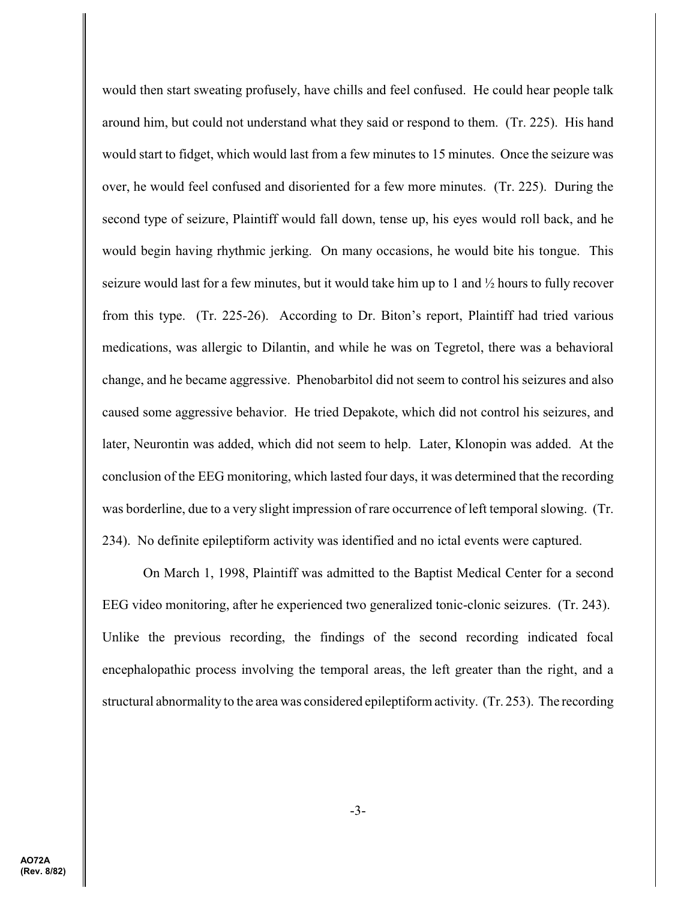would then start sweating profusely, have chills and feel confused. He could hear people talk around him, but could not understand what they said or respond to them. (Tr. 225). His hand would start to fidget, which would last from a few minutes to 15 minutes. Once the seizure was over, he would feel confused and disoriented for a few more minutes. (Tr. 225). During the second type of seizure, Plaintiff would fall down, tense up, his eyes would roll back, and he would begin having rhythmic jerking. On many occasions, he would bite his tongue. This seizure would last for a few minutes, but it would take him up to 1 and ½ hours to fully recover from this type. (Tr. 225-26). According to Dr. Biton's report, Plaintiff had tried various medications, was allergic to Dilantin, and while he was on Tegretol, there was a behavioral change, and he became aggressive. Phenobarbitol did not seem to control his seizures and also caused some aggressive behavior. He tried Depakote, which did not control his seizures, and later, Neurontin was added, which did not seem to help. Later, Klonopin was added. At the conclusion of the EEG monitoring, which lasted four days, it was determined that the recording was borderline, due to a very slight impression of rare occurrence of left temporal slowing. (Tr. 234). No definite epileptiform activity was identified and no ictal events were captured.

On March 1, 1998, Plaintiff was admitted to the Baptist Medical Center for a second EEG video monitoring, after he experienced two generalized tonic-clonic seizures. (Tr. 243). Unlike the previous recording, the findings of the second recording indicated focal encephalopathic process involving the temporal areas, the left greater than the right, and a structural abnormality to the area was considered epileptiform activity. (Tr. 253). The recording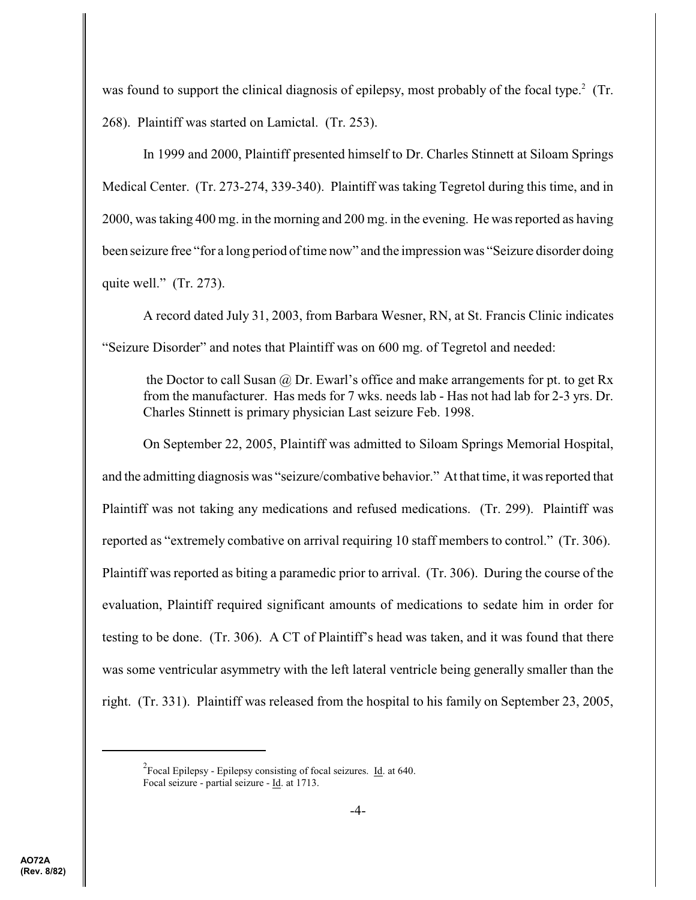was found to support the clinical diagnosis of epilepsy, most probably of the focal type.<sup>2</sup> (Tr. 268). Plaintiff was started on Lamictal. (Tr. 253).

In 1999 and 2000, Plaintiff presented himself to Dr. Charles Stinnett at Siloam Springs Medical Center. (Tr. 273-274, 339-340). Plaintiff was taking Tegretol during this time, and in 2000, was taking 400 mg. in the morning and 200 mg. in the evening. He was reported as having been seizure free "for a long period of time now" and the impression was "Seizure disorder doing quite well." (Tr. 273).

A record dated July 31, 2003, from Barbara Wesner, RN, at St. Francis Clinic indicates "Seizure Disorder" and notes that Plaintiff was on 600 mg. of Tegretol and needed:

the Doctor to call Susan  $\omega$  Dr. Ewarl's office and make arrangements for pt. to get Rx from the manufacturer. Has meds for 7 wks. needs lab - Has not had lab for 2-3 yrs. Dr. Charles Stinnett is primary physician Last seizure Feb. 1998.

On September 22, 2005, Plaintiff was admitted to Siloam Springs Memorial Hospital, and the admitting diagnosis was "seizure/combative behavior." At that time, it was reported that Plaintiff was not taking any medications and refused medications. (Tr. 299). Plaintiff was reported as "extremely combative on arrival requiring 10 staff members to control." (Tr. 306). Plaintiff was reported as biting a paramedic prior to arrival. (Tr. 306). During the course of the evaluation, Plaintiff required significant amounts of medications to sedate him in order for testing to be done. (Tr. 306). A CT of Plaintiff's head was taken, and it was found that there was some ventricular asymmetry with the left lateral ventricle being generally smaller than the right. (Tr. 331). Plaintiff was released from the hospital to his family on September 23, 2005,

 $2^2$ Focal Epilepsy - Epilepsy consisting of focal seizures. Id. at 640. Focal seizure - partial seizure - Id. at 1713.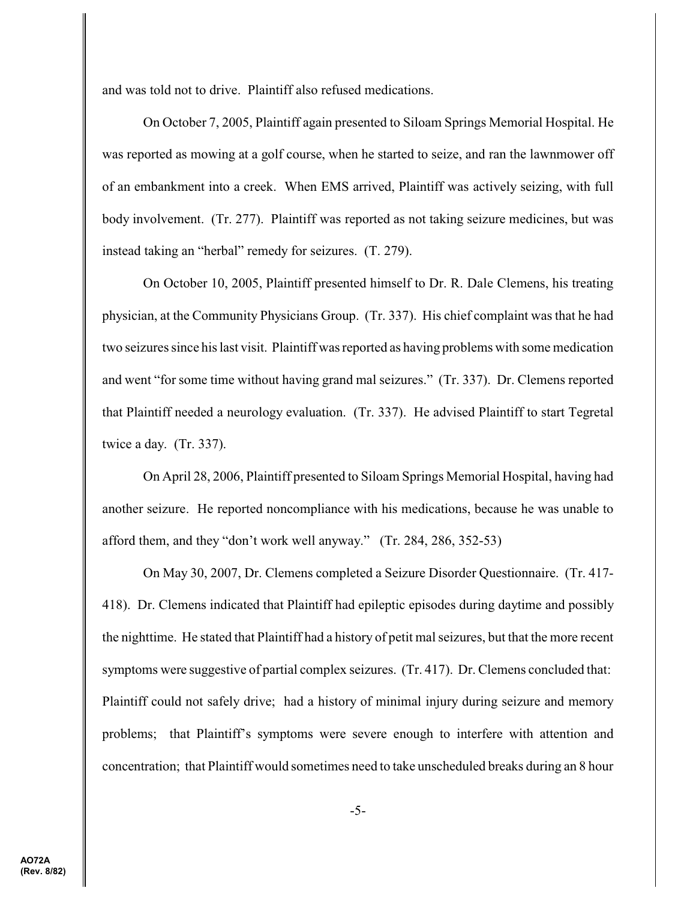and was told not to drive. Plaintiff also refused medications.

On October 7, 2005, Plaintiff again presented to Siloam Springs Memorial Hospital. He was reported as mowing at a golf course, when he started to seize, and ran the lawnmower off of an embankment into a creek. When EMS arrived, Plaintiff was actively seizing, with full body involvement. (Tr. 277). Plaintiff was reported as not taking seizure medicines, but was instead taking an "herbal" remedy for seizures. (T. 279).

On October 10, 2005, Plaintiff presented himself to Dr. R. Dale Clemens, his treating physician, at the Community Physicians Group. (Tr. 337). His chief complaint was that he had two seizures since his last visit. Plaintiff was reported as having problems with some medication and went "for some time without having grand mal seizures." (Tr. 337). Dr. Clemens reported that Plaintiff needed a neurology evaluation. (Tr. 337). He advised Plaintiff to start Tegretal twice a day. (Tr. 337).

On April 28, 2006, Plaintiff presented to Siloam Springs Memorial Hospital, having had another seizure. He reported noncompliance with his medications, because he was unable to afford them, and they "don't work well anyway." (Tr. 284, 286, 352-53)

On May 30, 2007, Dr. Clemens completed a Seizure Disorder Questionnaire. (Tr. 417- 418). Dr. Clemens indicated that Plaintiff had epileptic episodes during daytime and possibly the nighttime. He stated that Plaintiff had a history of petit mal seizures, but that the more recent symptoms were suggestive of partial complex seizures. (Tr. 417). Dr. Clemens concluded that: Plaintiff could not safely drive; had a history of minimal injury during seizure and memory problems; that Plaintiff's symptoms were severe enough to interfere with attention and concentration; that Plaintiff would sometimes need to take unscheduled breaks during an 8 hour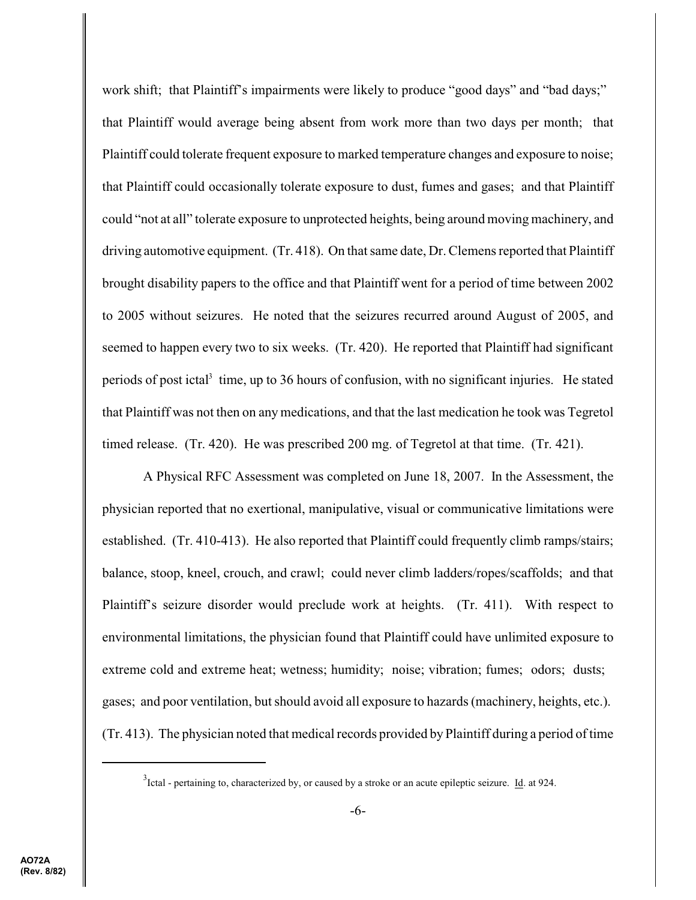work shift; that Plaintiff's impairments were likely to produce "good days" and "bad days;" that Plaintiff would average being absent from work more than two days per month; that Plaintiff could tolerate frequent exposure to marked temperature changes and exposure to noise; that Plaintiff could occasionally tolerate exposure to dust, fumes and gases; and that Plaintiff could "not at all" tolerate exposure to unprotected heights, being around moving machinery, and driving automotive equipment. (Tr. 418). On that same date, Dr. Clemens reported that Plaintiff brought disability papers to the office and that Plaintiff went for a period of time between 2002 to 2005 without seizures. He noted that the seizures recurred around August of 2005, and seemed to happen every two to six weeks. (Tr. 420). He reported that Plaintiff had significant periods of post ictal<sup>3</sup> time, up to 36 hours of confusion, with no significant injuries. He stated that Plaintiff was not then on any medications, and that the last medication he took was Tegretol timed release. (Tr. 420). He was prescribed 200 mg. of Tegretol at that time. (Tr. 421).

A Physical RFC Assessment was completed on June 18, 2007. In the Assessment, the physician reported that no exertional, manipulative, visual or communicative limitations were established. (Tr. 410-413). He also reported that Plaintiff could frequently climb ramps/stairs; balance, stoop, kneel, crouch, and crawl; could never climb ladders/ropes/scaffolds; and that Plaintiff's seizure disorder would preclude work at heights. (Tr. 411). With respect to environmental limitations, the physician found that Plaintiff could have unlimited exposure to extreme cold and extreme heat; wetness; humidity; noise; vibration; fumes; odors; dusts; gases; and poor ventilation, but should avoid all exposure to hazards (machinery, heights, etc.). (Tr. 413). The physician noted that medical records provided by Plaintiff during a period of time

 $3$ Ictal - pertaining to, characterized by, or caused by a stroke or an acute epileptic seizure. Id. at 924.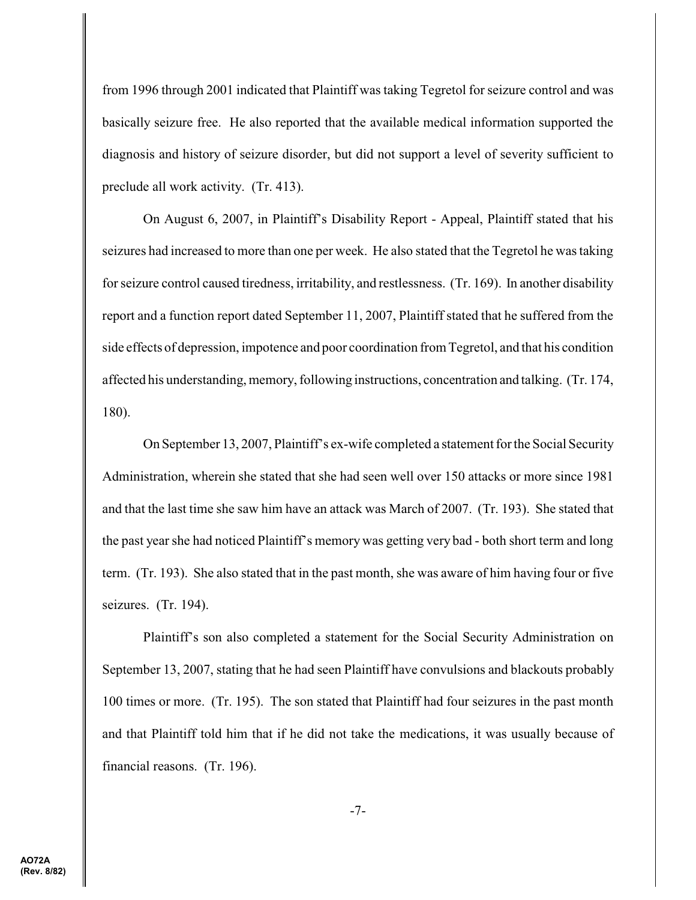from 1996 through 2001 indicated that Plaintiff was taking Tegretol for seizure control and was basically seizure free. He also reported that the available medical information supported the diagnosis and history of seizure disorder, but did not support a level of severity sufficient to preclude all work activity. (Tr. 413).

On August 6, 2007, in Plaintiff's Disability Report - Appeal, Plaintiff stated that his seizures had increased to more than one per week. He also stated that the Tegretol he was taking for seizure control caused tiredness, irritability, and restlessness. (Tr. 169). In another disability report and a function report dated September 11, 2007, Plaintiff stated that he suffered from the side effects of depression, impotence and poor coordination from Tegretol, and that his condition affected his understanding, memory, following instructions, concentration and talking. (Tr. 174, 180).

On September 13, 2007, Plaintiff's ex-wife completed a statement for the Social Security Administration, wherein she stated that she had seen well over 150 attacks or more since 1981 and that the last time she saw him have an attack was March of 2007. (Tr. 193). She stated that the past yearshe had noticed Plaintiff's memory was getting very bad - both short term and long term. (Tr. 193). She also stated that in the past month, she was aware of him having four or five seizures. (Tr. 194).

Plaintiff's son also completed a statement for the Social Security Administration on September 13, 2007, stating that he had seen Plaintiff have convulsions and blackouts probably 100 times or more. (Tr. 195). The son stated that Plaintiff had four seizures in the past month and that Plaintiff told him that if he did not take the medications, it was usually because of financial reasons. (Tr. 196).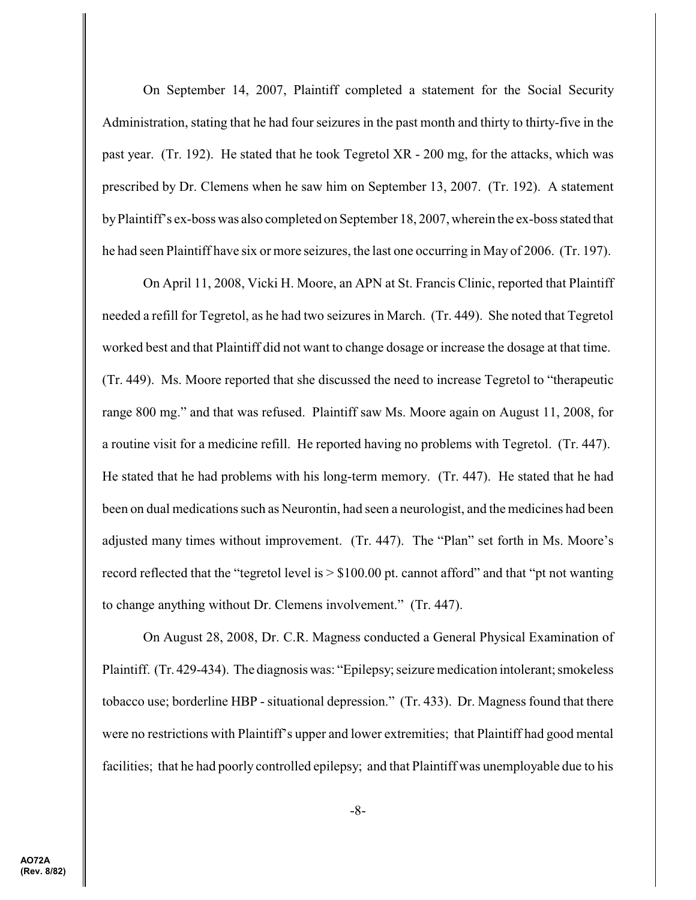On September 14, 2007, Plaintiff completed a statement for the Social Security Administration, stating that he had four seizures in the past month and thirty to thirty-five in the past year. (Tr. 192). He stated that he took Tegretol XR - 200 mg, for the attacks, which was prescribed by Dr. Clemens when he saw him on September 13, 2007. (Tr. 192). A statement byPlaintiff's ex-boss was also completed on September 18, 2007, wherein the ex-boss stated that he had seen Plaintiff have six or more seizures, the last one occurring in May of 2006. (Tr. 197).

On April 11, 2008, Vicki H. Moore, an APN at St. Francis Clinic, reported that Plaintiff needed a refill for Tegretol, as he had two seizures in March. (Tr. 449). She noted that Tegretol worked best and that Plaintiff did not want to change dosage or increase the dosage at that time. (Tr. 449). Ms. Moore reported that she discussed the need to increase Tegretol to "therapeutic range 800 mg." and that was refused. Plaintiff saw Ms. Moore again on August 11, 2008, for a routine visit for a medicine refill. He reported having no problems with Tegretol. (Tr. 447). He stated that he had problems with his long-term memory. (Tr. 447). He stated that he had been on dual medications such as Neurontin, had seen a neurologist, and the medicines had been adjusted many times without improvement. (Tr. 447). The "Plan" set forth in Ms. Moore's record reflected that the "tegretol level is > \$100.00 pt. cannot afford" and that "pt not wanting to change anything without Dr. Clemens involvement." (Tr. 447).

On August 28, 2008, Dr. C.R. Magness conducted a General Physical Examination of Plaintiff. (Tr. 429-434). The diagnosis was: "Epilepsy; seizure medication intolerant; smokeless tobacco use; borderline HBP - situational depression." (Tr. 433). Dr. Magness found that there were no restrictions with Plaintiff's upper and lower extremities; that Plaintiff had good mental facilities; that he had poorly controlled epilepsy; and that Plaintiff was unemployable due to his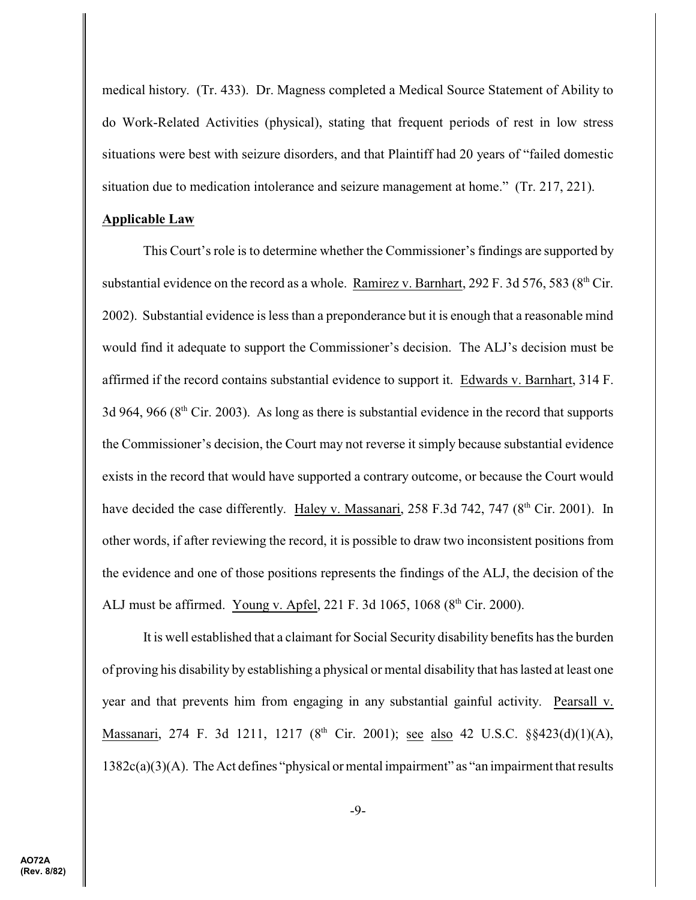medical history. (Tr. 433). Dr. Magness completed a Medical Source Statement of Ability to do Work-Related Activities (physical), stating that frequent periods of rest in low stress situations were best with seizure disorders, and that Plaintiff had 20 years of "failed domestic situation due to medication intolerance and seizure management at home." (Tr. 217, 221).

## **Applicable Law**

This Court's role is to determine whether the Commissioner's findings are supported by substantial evidence on the record as a whole. Ramirez v. Barnhart, 292 F. 3d 576, 583 ( $8<sup>th</sup>$  Cir. 2002). Substantial evidence is less than a preponderance but it is enough that a reasonable mind would find it adequate to support the Commissioner's decision. The ALJ's decision must be affirmed if the record contains substantial evidence to support it. Edwards v. Barnhart, 314 F. 3d 964, 966 ( $8<sup>th</sup>$  Cir. 2003). As long as there is substantial evidence in the record that supports the Commissioner's decision, the Court may not reverse it simply because substantial evidence exists in the record that would have supported a contrary outcome, or because the Court would have decided the case differently. Haley v. Massanari, 258 F.3d 742, 747 (8<sup>th</sup> Cir. 2001). In other words, if after reviewing the record, it is possible to draw two inconsistent positions from the evidence and one of those positions represents the findings of the ALJ, the decision of the ALJ must be affirmed. Young v. Apfel, 221 F. 3d 1065, 1068 ( $8<sup>th</sup>$  Cir. 2000).

It is well established that a claimant for Social Security disability benefits has the burden of proving his disability by establishing a physical or mental disability that has lasted at least one year and that prevents him from engaging in any substantial gainful activity. Pearsall v. Massanari, 274 F. 3d 1211, 1217 (8<sup>th</sup> Cir. 2001); <u>see also</u> 42 U.S.C. §§423(d)(1)(A), 1382c(a)(3)(A). The Act defines "physical or mental impairment" as "an impairment that results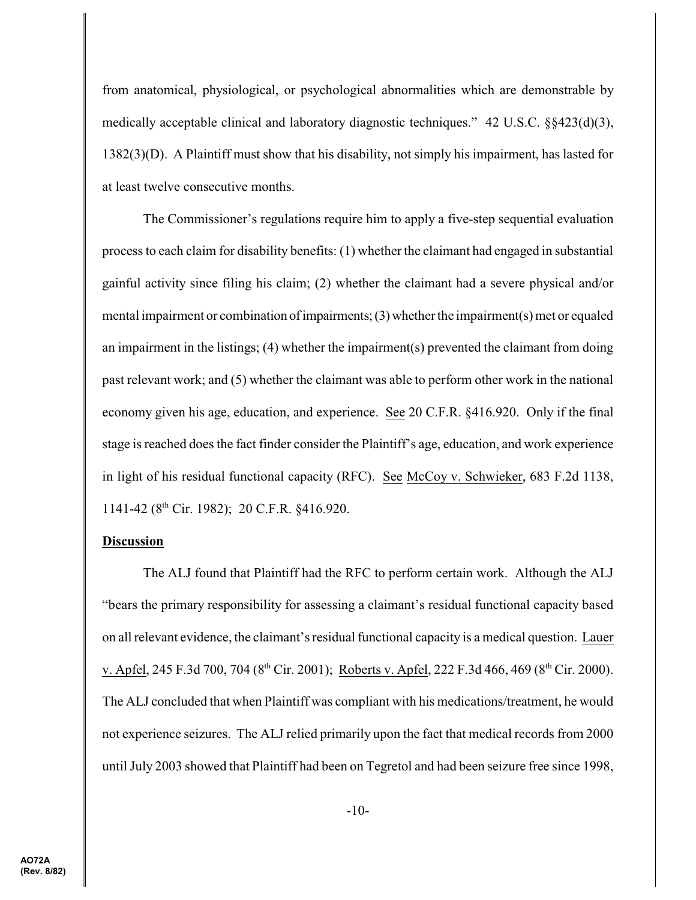from anatomical, physiological, or psychological abnormalities which are demonstrable by medically acceptable clinical and laboratory diagnostic techniques." 42 U.S.C. §§423(d)(3), 1382(3)(D). A Plaintiff must show that his disability, not simply his impairment, has lasted for at least twelve consecutive months.

The Commissioner's regulations require him to apply a five-step sequential evaluation process to each claim for disability benefits: (1) whether the claimant had engaged in substantial gainful activity since filing his claim; (2) whether the claimant had a severe physical and/or mental impairment or combination of impairments;  $(3)$  whether the impairment $(s)$  met or equaled an impairment in the listings; (4) whether the impairment(s) prevented the claimant from doing past relevant work; and (5) whether the claimant was able to perform other work in the national economy given his age, education, and experience. See 20 C.F.R. §416.920. Only if the final stage is reached does the fact finder consider the Plaintiff's age, education, and work experience in light of his residual functional capacity (RFC). See McCoy v. Schwieker, 683 F.2d 1138, 1141-42 ( $8<sup>th</sup>$  Cir. 1982); 20 C.F.R.  $§416.920$ .

## **Discussion**

The ALJ found that Plaintiff had the RFC to perform certain work. Although the ALJ "bears the primary responsibility for assessing a claimant's residual functional capacity based on all relevant evidence, the claimant's residual functional capacity is a medical question. Lauer v. Apfel, 245 F.3d 700, 704 (8<sup>th</sup> Cir. 2001); Roberts v. Apfel, 222 F.3d 466, 469 (8<sup>th</sup> Cir. 2000). The ALJ concluded that when Plaintiff was compliant with his medications/treatment, he would not experience seizures. The ALJ relied primarily upon the fact that medical records from 2000 until July 2003 showed that Plaintiff had been on Tegretol and had been seizure free since 1998,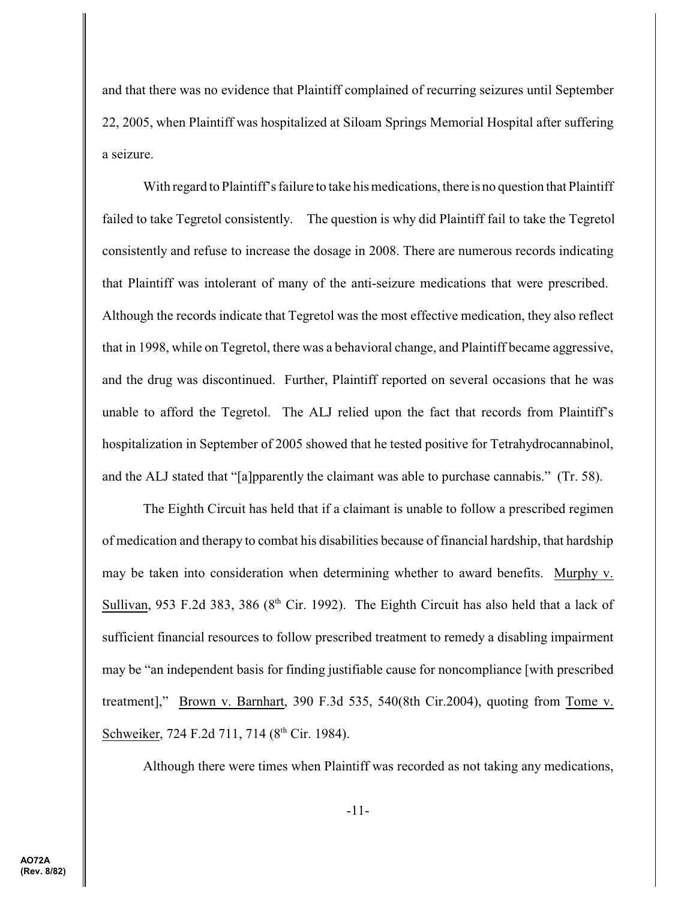and that there was no evidence that Plaintiff complained of recurring seizures until September 22, 2005, when Plaintiff was hospitalized at Siloam Springs Memorial Hospital after suffering a seizure.

With regard to Plaintiff's failure to take his medications, there is no question that Plaintiff failed to take Tegretol consistently. The question is why did Plaintiff fail to take the Tegretol consistently and refuse to increase the dosage in 2008. There are numerous records indicating that Plaintiff was intolerant of many of the anti-seizure medications that were prescribed. Although the records indicate that Tegretol was the most effective medication, they also reflect that in 1998, while on Tegretol, there was a behavioral change, and Plaintiff became aggressive, and the drug was discontinued. Further, Plaintiff reported on several occasions that he was unable to afford the Tegretol. The ALJ relied upon the fact that records from Plaintiff's hospitalization in September of 2005 showed that he tested positive for Tetrahydrocannabinol, and the ALJ stated that "[a]pparently the claimant was able to purchase cannabis." (Tr. 58).

The Eighth Circuit has held that if a claimant is unable to follow a prescribed regimen of medication and therapy to combat his disabilities because of financial hardship, that hardship may be taken into consideration when determining whether to award benefits. Murphy v. Sullivan, 953 F.2d 383, 386 ( $8<sup>th</sup>$  Cir. 1992). The Eighth Circuit has also held that a lack of sufficient financial resources to follow prescribed treatment to remedy a disabling impairment may be "an independent basis for finding justifiable cause for noncompliance [with prescribed treatment]," Brown v. Barnhart, 390 F.3d 535, 540(8th Cir.2004), quoting from Tome v. Schweiker, 724 F.2d 711, 714 (8<sup>th</sup> Cir. 1984).

Although there were times when Plaintiff was recorded as not taking any medications,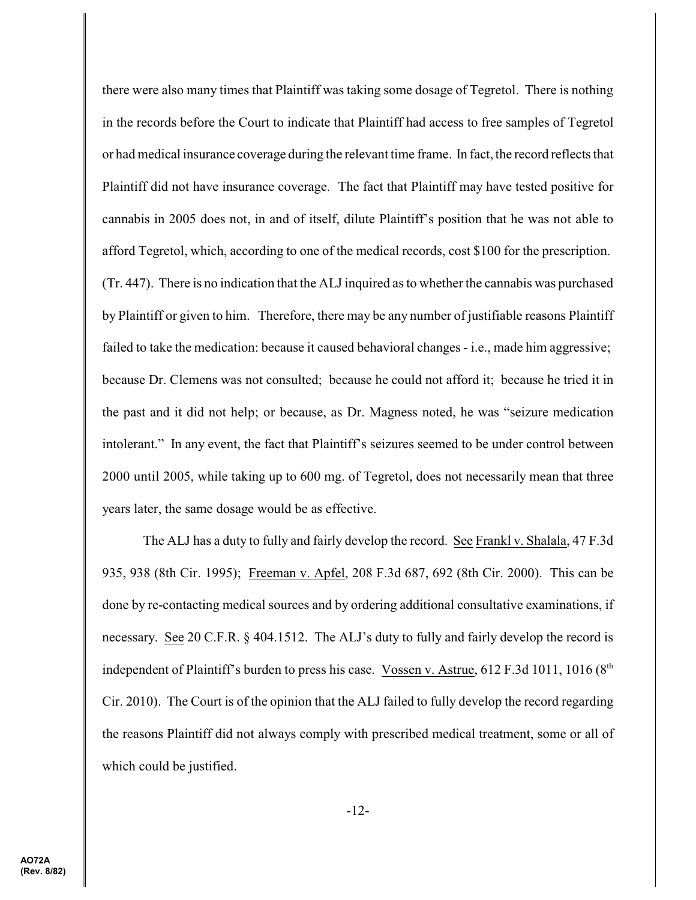there were also many times that Plaintiff was taking some dosage of Tegretol. There is nothing in the records before the Court to indicate that Plaintiff had access to free samples of Tegretol or had medical insurance coverage during the relevant time frame. In fact, the record reflects that Plaintiff did not have insurance coverage. The fact that Plaintiff may have tested positive for cannabis in 2005 does not, in and of itself, dilute Plaintiff's position that he was not able to afford Tegretol, which, according to one of the medical records, cost \$100 for the prescription. (Tr. 447). There is no indication that the ALJ inquired as to whether the cannabis was purchased by Plaintiff or given to him. Therefore, there may be any number of justifiable reasons Plaintiff failed to take the medication: because it caused behavioral changes - i.e., made him aggressive; because Dr. Clemens was not consulted; because he could not afford it; because he tried it in the past and it did not help; or because, as Dr. Magness noted, he was "seizure medication intolerant." In any event, the fact that Plaintiff's seizures seemed to be under control between 2000 until 2005, while taking up to 600 mg. of Tegretol, does not necessarily mean that three years later, the same dosage would be as effective.

The ALJ has a duty to fully and fairly develop the record. See Frankl v. Shalala, 47 F.3d 935, 938 (8th Cir. 1995); Freeman v. Apfel, 208 F.3d 687, 692 (8th Cir. 2000). This can be done by re-contacting medical sources and by ordering additional consultative examinations, if necessary. See 20 C.F.R. § 404.1512. The ALJ's duty to fully and fairly develop the record is independent of Plaintiff's burden to press his case. Vossen v. Astrue,  $612$  F.3d 1011, 1016 ( $8<sup>th</sup>$ Cir. 2010). The Court is of the opinion that the ALJ failed to fully develop the record regarding the reasons Plaintiff did not always comply with prescribed medical treatment, some or all of which could be justified.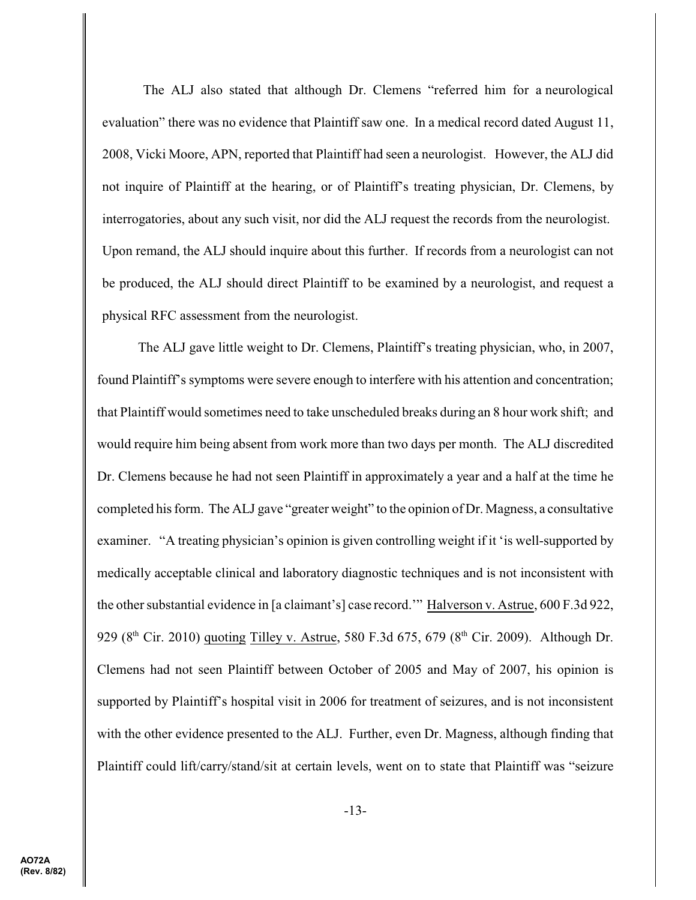The ALJ also stated that although Dr. Clemens "referred him for a neurological evaluation" there was no evidence that Plaintiff saw one. In a medical record dated August 11, 2008, Vicki Moore, APN, reported that Plaintiff had seen a neurologist. However, the ALJ did not inquire of Plaintiff at the hearing, or of Plaintiff's treating physician, Dr. Clemens, by interrogatories, about any such visit, nor did the ALJ request the records from the neurologist. Upon remand, the ALJ should inquire about this further. If records from a neurologist can not be produced, the ALJ should direct Plaintiff to be examined by a neurologist, and request a physical RFC assessment from the neurologist.

The ALJ gave little weight to Dr. Clemens, Plaintiff's treating physician, who, in 2007, found Plaintiff's symptoms were severe enough to interfere with his attention and concentration; that Plaintiff would sometimes need to take unscheduled breaks during an 8 hour work shift; and would require him being absent from work more than two days per month. The ALJ discredited Dr. Clemens because he had not seen Plaintiff in approximately a year and a half at the time he completed his form. The ALJ gave "greater weight" to the opinion of Dr. Magness, a consultative examiner. "A treating physician's opinion is given controlling weight if it 'is well-supported by medically acceptable clinical and laboratory diagnostic techniques and is not inconsistent with the other substantial evidence in [a claimant's] case record.'" Halverson v. Astrue, 600 F.3d 922, 929 (8<sup>th</sup> Cir. 2010) quoting Tilley v. Astrue, 580 F.3d 675, 679 (8<sup>th</sup> Cir. 2009). Although Dr. Clemens had not seen Plaintiff between October of 2005 and May of 2007, his opinion is supported by Plaintiff's hospital visit in 2006 for treatment of seizures, and is not inconsistent with the other evidence presented to the ALJ. Further, even Dr. Magness, although finding that Plaintiff could lift/carry/stand/sit at certain levels, went on to state that Plaintiff was "seizure